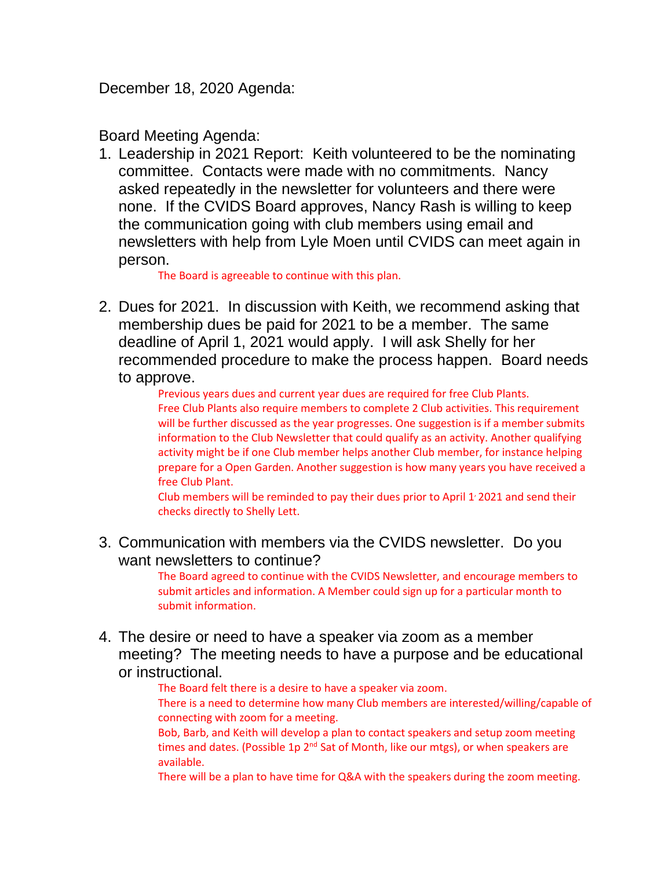December 18, 2020 Agenda:

Board Meeting Agenda:

1. Leadership in 2021 Report: Keith volunteered to be the nominating committee. Contacts were made with no commitments. Nancy asked repeatedly in the newsletter for volunteers and there were none. If the CVIDS Board approves, Nancy Rash is willing to keep the communication going with club members using email and newsletters with help from Lyle Moen until CVIDS can meet again in person.

The Board is agreeable to continue with this plan.

2. Dues for 2021. In discussion with Keith, we recommend asking that membership dues be paid for 2021 to be a member. The same deadline of April 1, 2021 would apply. I will ask Shelly for her recommended procedure to make the process happen. Board needs to approve.

Previous years dues and current year dues are required for free Club Plants. Free Club Plants also require members to complete 2 Club activities. This requirement will be further discussed as the year progresses. One suggestion is if a member submits information to the Club Newsletter that could qualify as an activity. Another qualifying activity might be if one Club member helps another Club member, for instance helping prepare for a Open Garden. Another suggestion is how many years you have received a free Club Plant.

Club members will be reminded to pay their dues prior to April 1, 2021 and send their checks directly to Shelly Lett.

3. Communication with members via the CVIDS newsletter. Do you want newsletters to continue?

The Board agreed to continue with the CVIDS Newsletter, and encourage members to submit articles and information. A Member could sign up for a particular month to submit information.

4. The desire or need to have a speaker via zoom as a member meeting? The meeting needs to have a purpose and be educational or instructional.

> The Board felt there is a desire to have a speaker via zoom. There is a need to determine how many Club members are interested/willing/capable of connecting with zoom for a meeting.

Bob, Barb, and Keith will develop a plan to contact speakers and setup zoom meeting times and dates. (Possible 1p  $2^{nd}$  Sat of Month, like our mtgs), or when speakers are available.

There will be a plan to have time for Q&A with the speakers during the zoom meeting.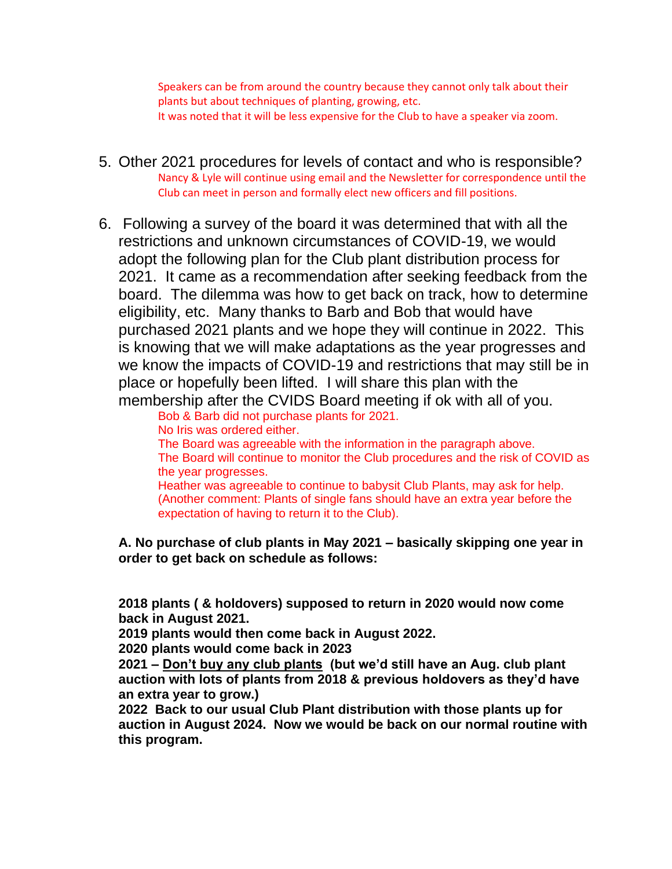Speakers can be from around the country because they cannot only talk about their plants but about techniques of planting, growing, etc. It was noted that it will be less expensive for the Club to have a speaker via zoom.

- 5. Other 2021 procedures for levels of contact and who is responsible? Nancy & Lyle will continue using email and the Newsletter for correspondence until the Club can meet in person and formally elect new officers and fill positions.
- 6. Following a survey of the board it was determined that with all the restrictions and unknown circumstances of COVID-19, we would adopt the following plan for the Club plant distribution process for 2021. It came as a recommendation after seeking feedback from the board. The dilemma was how to get back on track, how to determine eligibility, etc. Many thanks to Barb and Bob that would have purchased 2021 plants and we hope they will continue in 2022. This is knowing that we will make adaptations as the year progresses and we know the impacts of COVID-19 and restrictions that may still be in place or hopefully been lifted. I will share this plan with the membership after the CVIDS Board meeting if ok with all of you.

Bob & Barb did not purchase plants for 2021. No Iris was ordered either.

The Board was agreeable with the information in the paragraph above. The Board will continue to monitor the Club procedures and the risk of COVID as the year progresses.

Heather was agreeable to continue to babysit Club Plants, may ask for help. (Another comment: Plants of single fans should have an extra year before the expectation of having to return it to the Club).

**A. No purchase of club plants in May 2021 – basically skipping one year in order to get back on schedule as follows:**

**2018 plants ( & holdovers) supposed to return in 2020 would now come back in August 2021.**

**2019 plants would then come back in August 2022.**

**2020 plants would come back in 2023**

**2021 – Don't buy any club plants (but we'd still have an Aug. club plant auction with lots of plants from 2018 & previous holdovers as they'd have an extra year to grow.)**

**2022 Back to our usual Club Plant distribution with those plants up for auction in August 2024. Now we would be back on our normal routine with this program.**